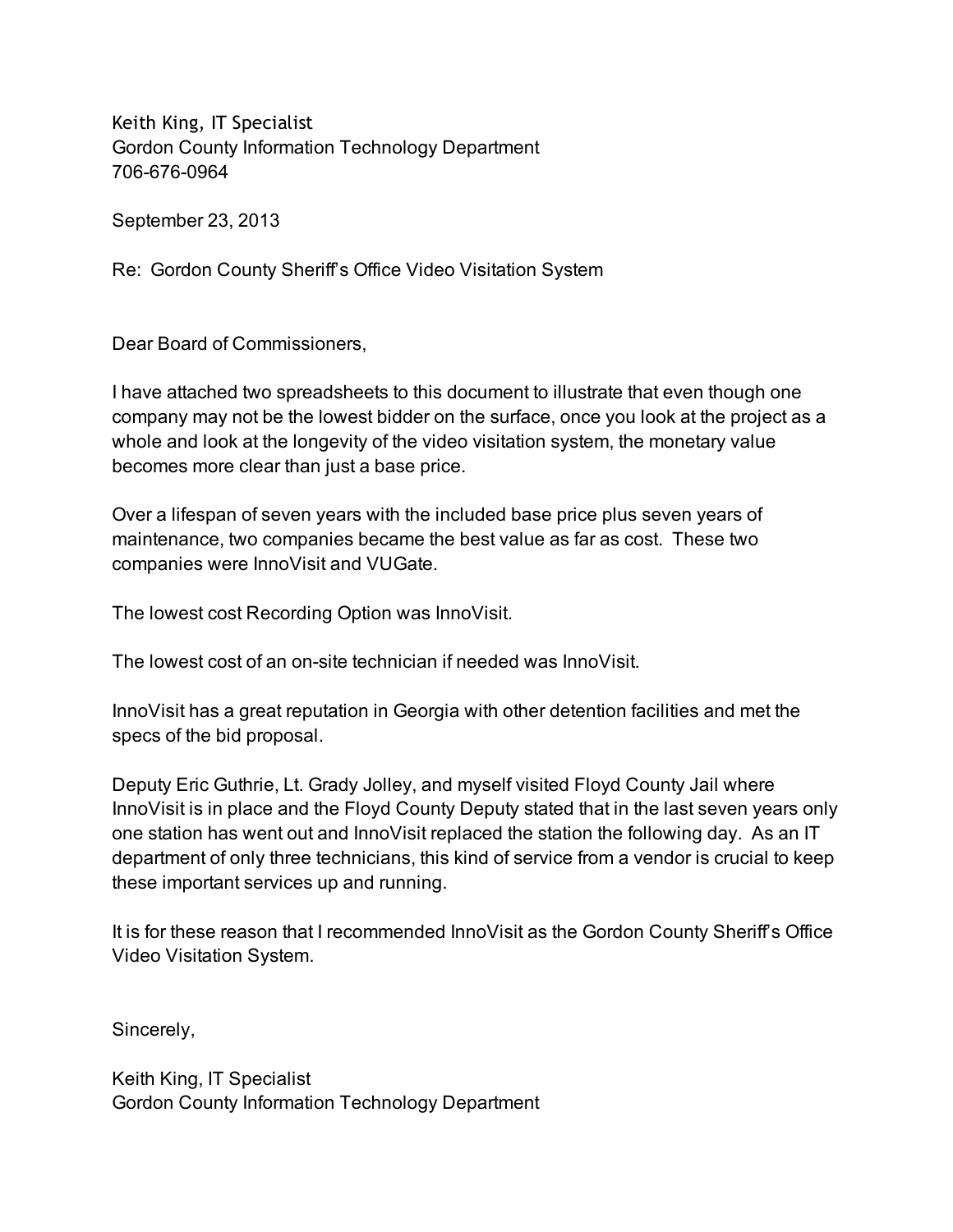Keith King, IT Specialist Gordon County Information Technology Department 706-676-0964

September 23, 2013

Re: Gordon County Sheriff's Office Video Visitation System

Dear Board of Commissioners,

I have attached two spreadsheets to this document to illustrate that even though one company may not be the lowest bidder on the surface, once you look at the project as a whole and look at the longevity of the video visitation system, the monetary value becomes more clear than just a base price.

Over a lifespan of seven years with the included base price plus seven years of maintenance, two companies became the best value as far as cost. These two companies were InnoVisit and VUGate.

The lowest cost Recording Option was InnoVisit.

The lowest cost of an on-site technician if needed was InnoVisit.

InnoVisit has a great reputation in Georgia with other detention facilities and met the specs of the bid proposal.

Deputy Eric Guthrie, Lt. Grady Jolley, and myself visited Floyd County Jail where InnoVisit is in place and the Floyd County Deputy stated that in the last seven years only one station has went out and InnoVisit replaced the station the following day. As an IT department of only three technicians, this kind of service from a vendor is crucial to keep these important services up and running.

It is for these reason that I recommended InnoVisit as the Gordon County Sheriff's Office Video Visitation System.

Sincerely,

Keith King, IT Specialist Gordon County Information Technology Department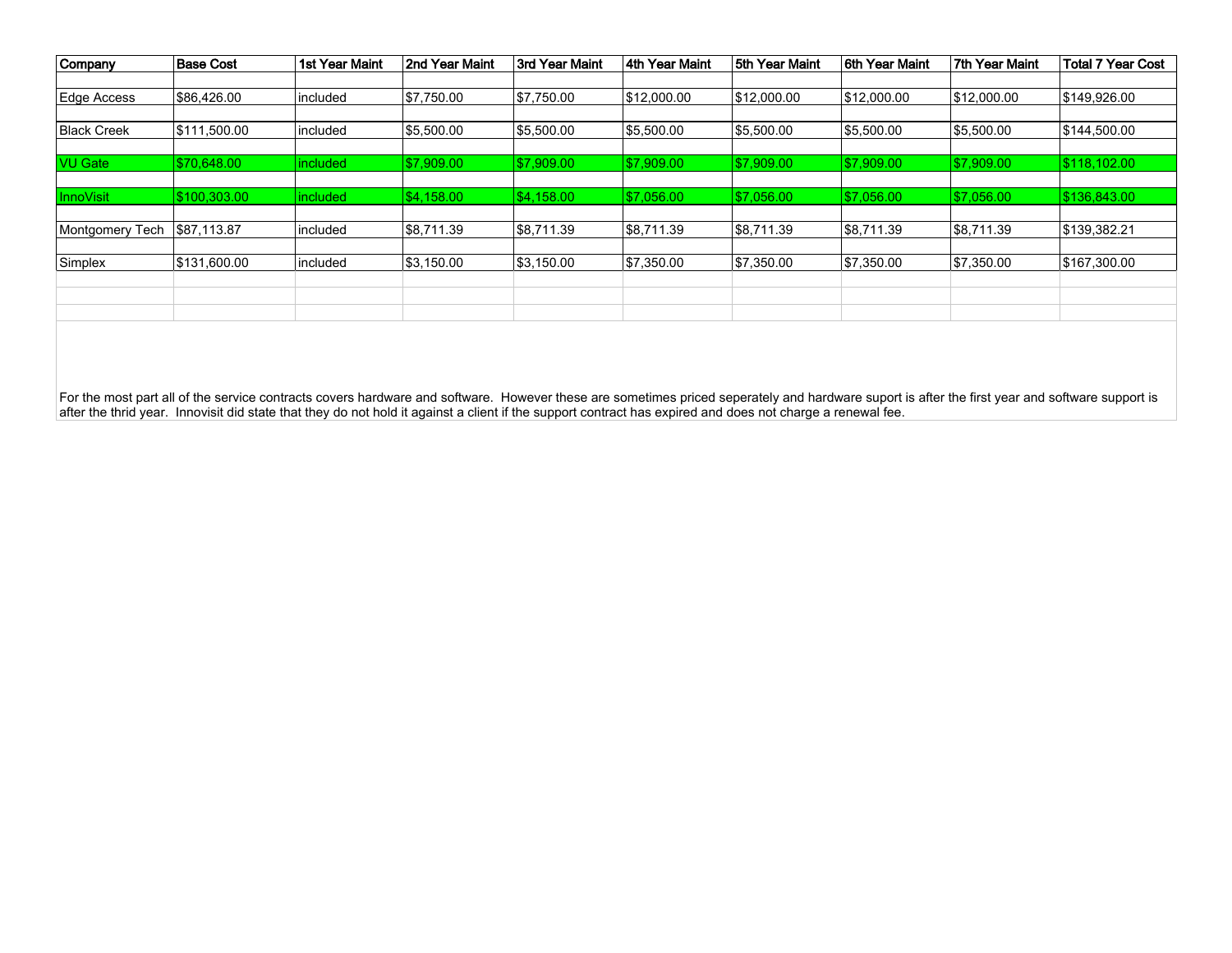| Company            | Base Cost     | 1st Year Maint  | 2nd Year Maint | 3rd Year Maint | 4th Year Maint | 5th Year Maint | 6th Year Maint | 7th Year Maint | <b>Total 7 Year Cost</b> |
|--------------------|---------------|-----------------|----------------|----------------|----------------|----------------|----------------|----------------|--------------------------|
|                    |               |                 |                |                |                |                |                |                |                          |
| Edge Access        | \$86,426.00   | lincluded       | \$7,750.00     | \$7,750.00     | \$12,000.00    | \$12,000.00    | \$12,000.00    | \$12,000.00    | \$149,926.00             |
|                    |               |                 |                |                |                |                |                |                |                          |
| <b>Black Creek</b> | \$111,500.00  | lincluded       | \$5,500.00     | \$5,500.00     | \$5,500.00     | \$5,500.00     | \$5,500.00     | \$5,500.00     | \$144,500.00             |
|                    |               |                 |                |                |                |                |                |                |                          |
| <b>VU Gate</b>     | 570.648.00    | <i>included</i> | S7.909.00      | 57.909.00      | \$7,909.00     | 57.909.00      | \$7,909.00     | \$7,909.00     | \$118.102.00             |
|                    |               |                 |                |                |                |                |                |                |                          |
| <b>InnoVisit</b>   | \$100.303.00  | included        | \$4,158,00     | \$4.158.00     | \$7.056.00     | 57.056.00      | 57,056.00      | \$7,056.00     | \$136,843.00             |
|                    |               |                 |                |                |                |                |                |                |                          |
| Montgomery Tech    | 887.113.87    | lincluded       | 88.711.39      | \$8,711.39     | \$8,711.39     | 88.711.39      | 58,711.39      | 88,711.39      | \$139,382.21             |
|                    |               |                 |                |                |                |                |                |                |                          |
| Simplex            | 1\$131.600.00 | lincluded       | \$3,150.00     | \$3.150.00     | \$7,350.00     | \$7,350.00     | \$7,350.00     | \$7,350.00     | 5167.300.00              |
|                    |               |                 |                |                |                |                |                |                |                          |
|                    |               |                 |                |                |                |                |                |                |                          |
|                    |               |                 |                |                |                |                |                |                |                          |

For the most part all of the service contracts covers hardware and software. However these are sometimes priced seperately and hardware suport is after the first year and software support is<br>after the thrid year. Innovis